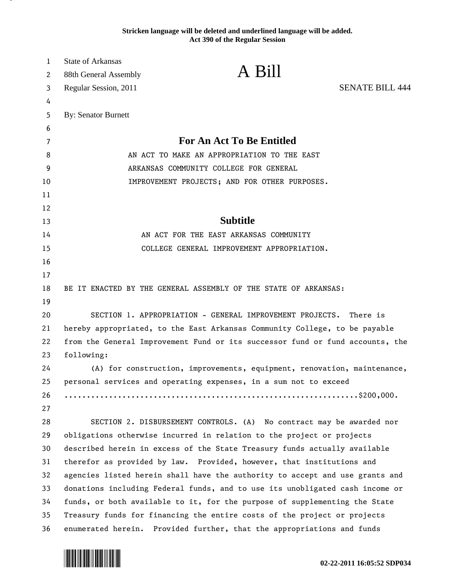**Stricken language will be deleted and underlined language will be added. Act 390 of the Regular Session**

| 1  | <b>State of Arkansas</b>                                                      |                                                                      |                        |
|----|-------------------------------------------------------------------------------|----------------------------------------------------------------------|------------------------|
| 2  | 88th General Assembly                                                         | A Bill                                                               |                        |
| 3  | Regular Session, 2011                                                         |                                                                      | <b>SENATE BILL 444</b> |
| 4  |                                                                               |                                                                      |                        |
| 5  | <b>By: Senator Burnett</b>                                                    |                                                                      |                        |
| 6  |                                                                               |                                                                      |                        |
| 7  | <b>For An Act To Be Entitled</b>                                              |                                                                      |                        |
| 8  | AN ACT TO MAKE AN APPROPRIATION TO THE EAST                                   |                                                                      |                        |
| 9  | ARKANSAS COMMUNITY COLLEGE FOR GENERAL                                        |                                                                      |                        |
| 10 | IMPROVEMENT PROJECTS; AND FOR OTHER PURPOSES.                                 |                                                                      |                        |
| 11 |                                                                               |                                                                      |                        |
| 12 |                                                                               |                                                                      |                        |
| 13 | <b>Subtitle</b>                                                               |                                                                      |                        |
| 14 | AN ACT FOR THE EAST ARKANSAS COMMUNITY                                        |                                                                      |                        |
| 15 |                                                                               | COLLEGE GENERAL IMPROVEMENT APPROPRIATION.                           |                        |
| 16 |                                                                               |                                                                      |                        |
| 17 |                                                                               |                                                                      |                        |
| 18 |                                                                               | BE IT ENACTED BY THE GENERAL ASSEMBLY OF THE STATE OF ARKANSAS:      |                        |
| 19 |                                                                               |                                                                      |                        |
| 20 | SECTION 1. APPROPRIATION - GENERAL IMPROVEMENT PROJECTS.<br>There is          |                                                                      |                        |
| 21 | hereby appropriated, to the East Arkansas Community College, to be payable    |                                                                      |                        |
| 22 | from the General Improvement Fund or its successor fund or fund accounts, the |                                                                      |                        |
| 23 | following:                                                                    |                                                                      |                        |
| 24 | (A) for construction, improvements, equipment, renovation, maintenance,       |                                                                      |                        |
| 25 | personal services and operating expenses, in a sum not to exceed              |                                                                      |                        |
| 26 |                                                                               |                                                                      |                        |
| 27 |                                                                               |                                                                      |                        |
| 28 |                                                                               | SECTION 2. DISBURSEMENT CONTROLS. (A) No contract may be awarded nor |                        |
| 29 | obligations otherwise incurred in relation to the project or projects         |                                                                      |                        |
| 30 | described herein in excess of the State Treasury funds actually available     |                                                                      |                        |
| 31 | therefor as provided by law. Provided, however, that institutions and         |                                                                      |                        |
| 32 | agencies listed herein shall have the authority to accept and use grants and  |                                                                      |                        |
| 33 | donations including Federal funds, and to use its unobligated cash income or  |                                                                      |                        |
| 34 | funds, or both available to it, for the purpose of supplementing the State    |                                                                      |                        |
| 35 | Treasury funds for financing the entire costs of the project or projects      |                                                                      |                        |
| 36 | enumerated herein. Provided further, that the appropriations and funds        |                                                                      |                        |



.